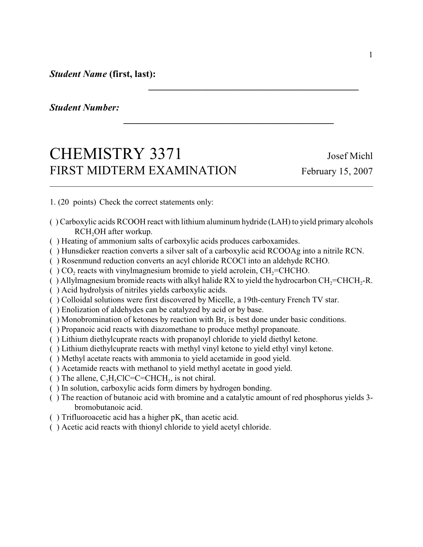*Student Name* **(first, last):**

*Student Number:* 

## CHEMISTRY 3371 Josef Michl FIRST MIDTERM EXAMINATION February 15, 2007

1. (20 points) Check the correct statements only:

( ) Carboxylic acids RCOOH react with lithium aluminum hydride (LAH) to yield primary alcohols RCH<sub>2</sub>OH after workup.

*\_\_\_\_\_\_\_\_\_\_\_\_\_\_\_\_\_\_\_\_\_\_\_\_\_\_\_\_\_\_\_\_\_\_\_\_\_\_\_\_\_\_\_*

*\_\_\_\_\_\_\_\_\_\_\_\_\_\_\_\_\_\_\_\_\_\_\_\_\_\_\_\_\_\_\_\_\_\_\_\_\_\_\_\_\_\_\_*

- ( ) Heating of ammonium salts of carboxylic acids produces carboxamides.
- ( ) Hunsdieker reaction converts a silver salt of a carboxylic acid RCOOAg into a nitrile RCN.
- ( ) Rosenmund reduction converts an acyl chloride RCOCl into an aldehyde RCHO.
- $($   $)$  CO<sub>2</sub> reacts with vinylmagnesium bromide to yield acrolein, CH<sub>2</sub>=CHCHO.
- () Allylmagnesium bromide reacts with alkyl halide RX to yield the hydrocarbon  $CH<sub>2</sub>=CHCH<sub>2</sub>-R$ .
- ( ) Acid hydrolysis of nitriles yields carboxylic acids.
- ( ) Colloidal solutions were first discovered by Micelle, a 19th-century French TV star.
- ( ) Enolization of aldehydes can be catalyzed by acid or by base.
- () Monobromination of ketones by reaction with  $Br_2$  is best done under basic conditions.
- ( ) Propanoic acid reacts with diazomethane to produce methyl propanoate.
- ( ) Lithium diethylcuprate reacts with propanoyl chloride to yield diethyl ketone.
- ( ) Lithium diethylcuprate reacts with methyl vinyl ketone to yield ethyl vinyl ketone.
- ( ) Methyl acetate reacts with ammonia to yield acetamide in good yield.
- ( ) Acetamide reacts with methanol to yield methyl acetate in good yield.
- () The allene,  $C_2H_5ClC=C=CHCH_3$ , is not chiral.
- ( ) In solution, carboxylic acids form dimers by hydrogen bonding.
- ( ) The reaction of butanoic acid with bromine and a catalytic amount of red phosphorus yields 3 bromobutanoic acid.
- () Trifluoroacetic acid has a higher  $pK_a$  than acetic acid.
- ( ) Acetic acid reacts with thionyl chloride to yield acetyl chloride.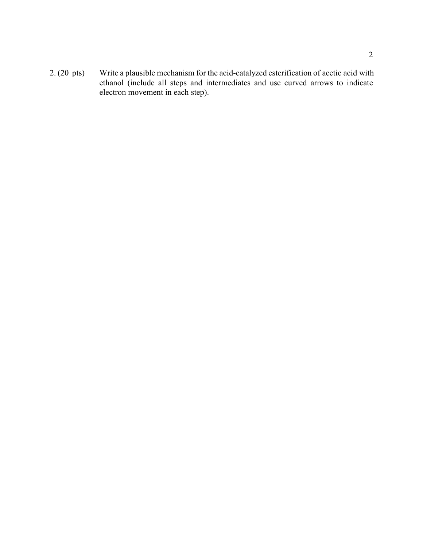2. (20 pts) Write a plausible mechanism for the acid-catalyzed esterification of acetic acid with ethanol (include all steps and intermediates and use curved arrows to indicate electron movement in each step).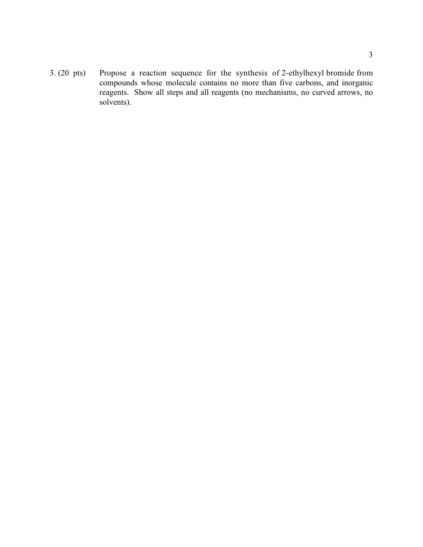3. (20 pts) Propose a reaction sequence for the synthesis of 2-ethylhexyl bromide from compounds whose molecule contains no more than five carbons, and inorganic reagents. Show all steps and all reagents (no mechanisms, no curved arrows, no solvents).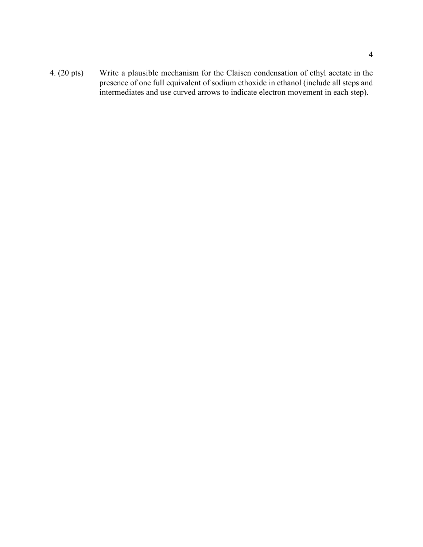4. (20 pts) Write a plausible mechanism for the Claisen condensation of ethyl acetate in the presence of one full equivalent of sodium ethoxide in ethanol (include all steps and intermediates and use curved arrows to indicate electron movement in each step).